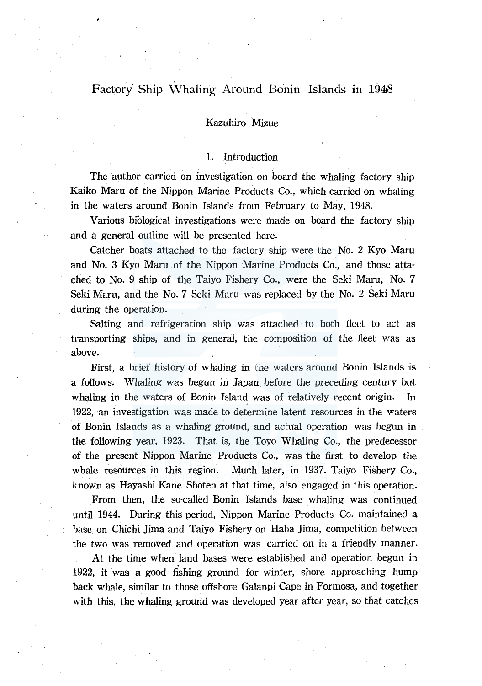# Factory Ship Whaling Around Bonin Islands in 1948

# Kazuhiro Mizue

# 1. Introduction

. . . ; The author carried on investigation on board the whaling factory ship Kaiko Maru of the Nippon Marine Products Co., which carried on whaling in the waters around Bonin Islands from February to May, 1948.

Various biological investigations were made on board the factory ship and a general outline will be presented here.

Catcher boats attached to the factory ship were the No. 2 Kyo Maru and No. 3 Kyo Maru of the Nippon Marine Products Co., and those attached to No. 9 ship of the Taiyo Fishery Co., were the Seki Maru, No. 7 Seki Maru, and the No. 7 Seki Maru was replaced by the No. 2 Seki Maru during the operation.

Salting and refrigeration ship was attached to both fleet to act as transporting ships, and in general, the composition of the fleet was as above.

First, a brief history of whaling in the waters around Bonin Islands is a follows. Whaling was begun in Japan\_\_ before the preceding century but whaling in the waters of Bonin Island was of relatively recent origin. In  $1922$ , an investigation was made to determine latent resources in the waters of Bonin Islands as a whaling ground, and actual operation was begun in the following year, 1923. That is, the Toyo Whaling Co., the predecessor of the present Nippon Marine Products Co., was the first to develop the whale resources in this region. Much later, in 1937. Taiyo Fishery Co., known as Hayashi Kane Shoten at that time, also engaged in this operation.

From then, the so-called Bonin Islands base whaling was continued until 1944. During this period, Nippon Marine Products Co. maintained a . base on Chichi Jima and Taiyo Fishery on Haha Jima, competition between the two was removed and operation was carried on in a friendly manner.

At the time when land bases were established and operation begun in 1922, it was a good fishing ground for winter, shore approaching hump back whale, similar to those offshore Galanpi Cape in Formosa, and together with this, the whaling ground was developed year after year, so that catches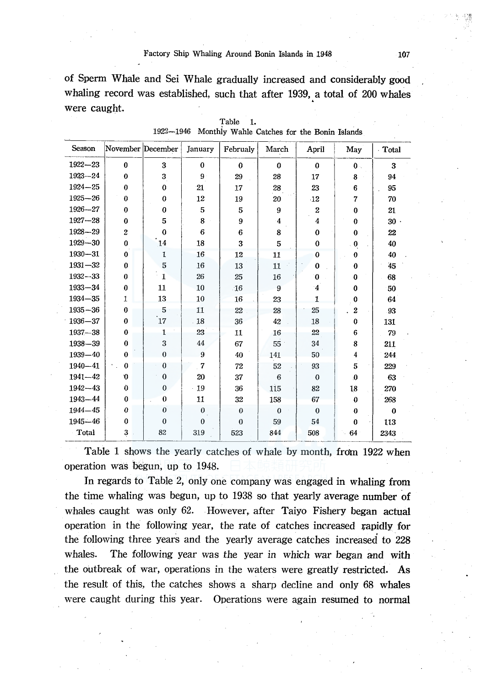of Sperm Whale and Sei Whale gradually increased and considerably good whaling record was established, such that after 1939, a total of 200 whales were caught.

| Season      | November December |                  | January  | Februaly     | March          | April            | May            | Total        |
|-------------|-------------------|------------------|----------|--------------|----------------|------------------|----------------|--------------|
| $1922 - 23$ | $\bf{0}$          | 3                | $\bf{0}$ | $\bf{0}$     | $\bf{0}$       | $\bf{0}$         | $\mathbf{0}$ . | 3            |
| $1923 - 24$ | $\Omega$          | 3                | $9 -$    | 29           | 28             | 17               | 8              | 94           |
| $1924 - 25$ | $\bf{0}$          | $\Omega$         | 21       | 17           | 28             | 23               | 6              | 95           |
| $1925 - 26$ | $\bf{0}$          | $\bf{0}$         | 12       | 19           | 20             | $\cdot$ 12       | 7              | 70           |
| $1926 - 27$ | $\Omega$          | $\Omega$         | 5        | 5            | 9              | $\overline{c}$   | $\bf{0}$       | 21           |
| $1927 - 28$ | $\Omega$          | 5                | 8        | 9            | 4              | 4                | 0              | $30 -$       |
| $1928 - 29$ | $\overline{c}$    | $\bf{0}$         | 6        | 6            | 8              | 0                | $\bf{0}$       | 22           |
| $1929 - 30$ | $\Omega$          | 14               | 18       | 3            | 5              | $\bf{0}$         | $\bf{0}$       | 40           |
| $1930 - 31$ | $\bf{0}$          | $\mathbf{1}$     | 16       | 12           | 11             | 0                | $\bf{0}$       | 40           |
| $1931 - 32$ | $\bf{0}$          | 5                | 16       | 13           | 11             | 0                | $\bf{0}$       | 45           |
| $1932 - 33$ | $\boldsymbol{0}$  | $\mathbf{1}$     | 26       | 25           | 16             | 0                | $\bf{0}$       | 68           |
| $1933 - 34$ | 0                 | 11               | 10       | 16           | 9              | $\boldsymbol{4}$ | $\bf{0}$       | 50           |
| $1934 - 35$ | 1                 | 13               | 10       | 16           | 23             | $\mathbf{1}$     | $\bf{0}$       | 64           |
| $1935 - 36$ | $\bf{0}$          | 5                | 11       | 22           | 28             | 25               | $\overline{2}$ | 93           |
| $1936 - 37$ | $\bf{0}$          | $17$             | $-18$    | 36           | 42             | 18               | $\bf{0}$       | 131          |
| $1937 - 38$ | $\bf{0}$          | $\mathbf{1}$     | 23       | 11           | 16             | 22               | 6              | 79           |
| $1938 - 39$ | $\bf{0}$          | 3                | 44       | 67           | 55             | 34               | 8              | 211          |
| $1939 - 40$ | 0                 | $\mathbf{0}$     | 9        | 40           | 141            | 50               | 4              | 244          |
| $1940 - 41$ | $\bf{0}$          | $\mathbf{0}$     | 7        | 72           | 52             | 93               | 5              | 229          |
| $1941 - 42$ | O                 | $\bf{0}$         | 20       | 37           | 6              | $\theta$         | $\mathbf{0}$   | 63           |
| $1942 - 43$ | $\theta$          | $\bf{0}$         | 19       | 36           | 115            | 82               | 18             | 270          |
| 1943-44     | $\bf{0}$          | $\bf{0}$         | 11       | 32           | 158            | 67               | $\theta$       | 268          |
| $1944 - 45$ | 0                 | $\boldsymbol{0}$ | $\bf{0}$ | $\bf{0}$     | $\overline{0}$ | $\bf{0}$         | $\theta$       | $\mathbf{0}$ |
| $1945 - 46$ | $\Omega$          | $\theta$         | $\theta$ | $\mathbf{0}$ | 59             | 54               | $\theta$       | 113          |
| Total       | 3                 | 82               | 319      | 523          | 844            | 508              | 64             | 2343         |

Table 1. 1922-1946 Monthiy Wahle Catches for the Bonin Islands

Table 1 shows the yearly catches of whale by month, from 1922 when operation was begun, up to 1948.

Jn regards to Table 2, only one company was engaged in whaling from the time whaling was begun, up to 1938 so that yearly average number of whales caught was only 62. However, after Taiyo Fishery began actual operation in the following year, the rate of catches increased rapidly for the following three years and the yearly average catches increased to 228 whales. The following year was the year in which war began and with the outbreak of war, operations in the waters were greatly' restricted. As the result of this, the catches shows a sharp decline and only 68 whales were caught during this year. Operations were again resumed to normal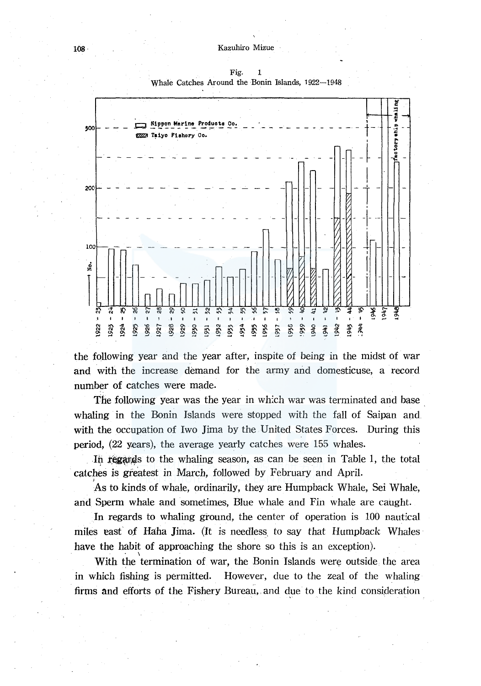

Fig. 1 Whale Catches Around the Bonin Islands, 1922-1948

the following year and the year after, inspite of being in the midst of war and with the increase demand for the army and domesticuse, a record number of catches were made.

The following year was the year in which war was terminated and base whaling in the Bonin Islands were stopped with the fall of Saipan and with the occupation of Iwo Jima by the United States Forces. During this period, (22 years), the average yearly catches were 155 whales .

In regards to the whaling season, as can be seen in Table 1, the total catches is greatest in March, followed by February and April.

As to kinds of whale, ordinarily, they are Humpback Whale, Sei Whale, and Sperm whale and sometimes, Blue whale and Fin whale are caught.

In regards to whaling ground, the center of operation is 100 nautical miles east of Haha Jima. (It is needless, to say that Humpback Whales have the habit of approaching the shore so this is an exception).

With the termination of war, the Bonin Islands were outside the area in which fishing is permitted. However, due to the zeal of the whaling firms and efforts of the Fishery Bureau, and due to the kind consideration

J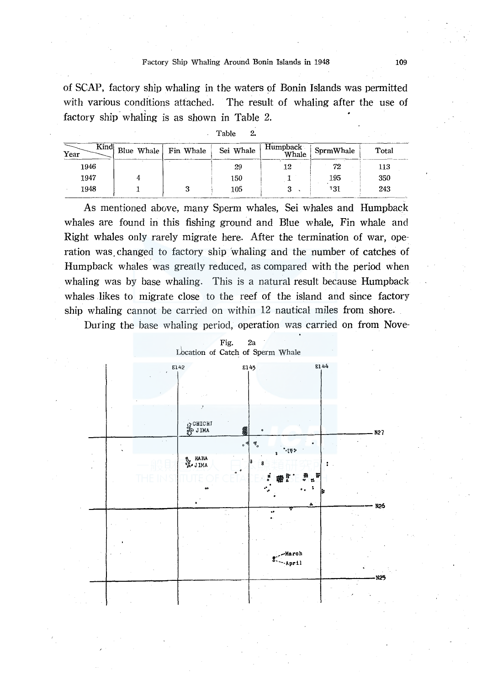of SCAP, factory ship whaling in the waters of Bonin Islands was permitted with various conditions attached. The result of whaling after the use of factory ship whaling is as shown in Table 2.

| Table | ິ |
|-------|---|
|-------|---|

|              |                      | Table<br>2. |                   |           |       |
|--------------|----------------------|-------------|-------------------|-----------|-------|
| Kind<br>Year | Blue Whale Fin Whale | Sei Whale   | Humpback<br>Whale | SprmWhale | Total |
| 1946         |                      | 29          | 12                | 72        | 113   |
| 1947         |                      | 150         |                   | 195       | 350   |
| 1948         |                      | 105         |                   | 131       | 243   |

As mentioned above, many Sperm whales, Sei whales and Humpback whales are found in this fishing ground and Blue whale, Fin whale and Right whales only rarely migrate here. After the termination of war, operation was. changed to factory ship 'whaling and the number of catches of Humpback whales was greatly reduced, as compared with the period when whaling was by base whaling. This is a natural result because Humpback whales likes to migrate close to the reef of the island and since factory ship whaling cannot be carried on within 12 nautical miles from shore.

During the base whaling period, operation was carried on from Nove-



# Fig. 2a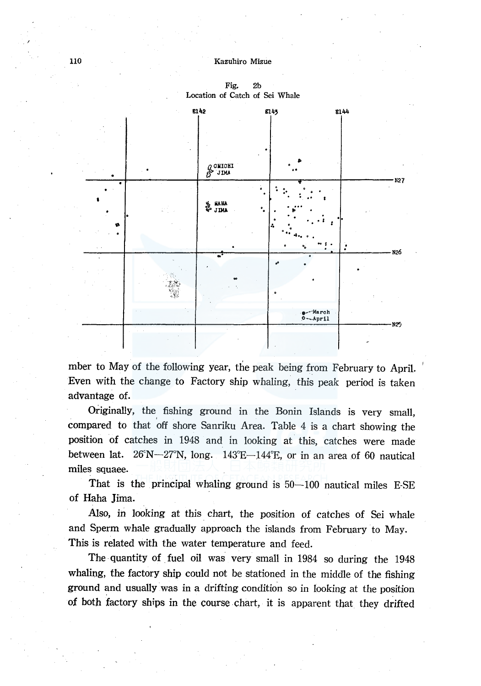#### 110 Kazuhiro Mizue



Fig. 2b Location of Catch of Sei Whale

mber to May of the following year, the peak being from February to April. Even with the change to Factory ship whaling, this peak period is taken advantage of.

Originally, the fishing ground in the Bonin Islands is very small, ' compared to that off shore Sanriku Area. Table 4 is a chart showing the position of catches in 1948 and in looking at this, catches were made between lat.  $26^{\circ}\text{N}$ - $27^{\circ}\text{N}$ , long.  $143^{\circ}\text{E}$ -144 $^{\circ}\text{E}$ , or in an area of 60 nautical miles squaee.

That is the principal whaling ground is 50-100 nautical miles E-SE of Haha Jima.

Also, in looking at this chart, the position of catches of Sei whale and Sperm whale gradually approach the islands from February to May. This is related with the water temperature and feed.

The quantity of fuel oil was very small in 1984 so during the 1948 whaling, the factory ship could not be stationed in the middle of the fishing ground and usually was in a drifting condition so in looking at the position of both factory ships in the course chart, it is apparent that they drifted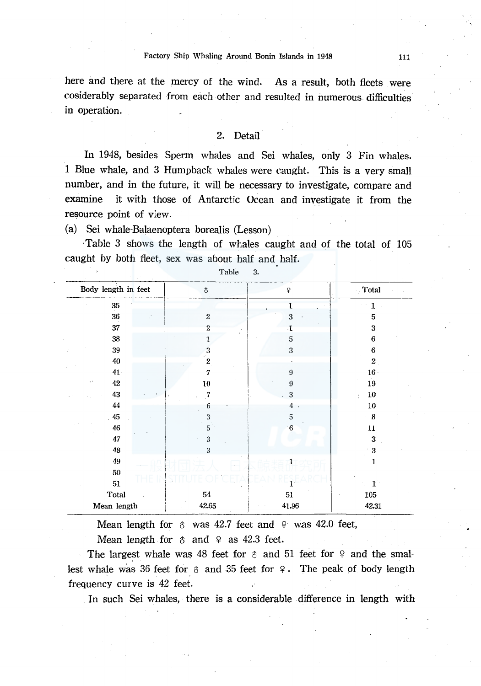here and there at the mercy of the wind. As a result, both fleets were cosiderably separated from each other and resulted in numerous difficulties in operation.

#### 2. Detail

In 1948, besides Sperm whales and Sei whales, only 3 Fin whales. 1 Blue whale, and 3 Humpback whales were caught. This is a very small number, and in the future, it will be necessary to investigate, compare and examine it with those of Antarctic Ocean and investigate it from the resource point of view.

(a) Sei whale-Balaenoptera borealis (Lesson)

-Table 3 shows the length of whales caught and of the total of 105 caught by both fleet, sex was about half and half.

| Body length in feet          | \$               | ¥                | Total            |
|------------------------------|------------------|------------------|------------------|
| 35                           |                  | 1                | 1                |
| 36                           | $\overline{2}$   | $\bf 3$          | 5                |
| $37\,$                       | $\boldsymbol{2}$ | $\cdot$ 1        | 3                |
| 38                           | ı                | 5                | 6                |
| $39\,$                       | 3                | $\mathbf{3}$     | $\bf 6$          |
| 40                           | $\mathbf{2}$     |                  | $\boldsymbol{2}$ |
| 41                           | $\overline{7}$   | $\boldsymbol{9}$ | $16 -$           |
| $42\,$<br>$\mathbf{x}^{(k)}$ | 10               | 9                | 19               |
| 43                           | 7                | 3                | $10\,$<br>t      |
| 44                           | 6                | 4                | 10               |
| .45                          | $\boldsymbol{3}$ | $\mathbf 5$      | $\boldsymbol{8}$ |
| 46                           | $\sqrt{5}$       | $\,6\,$          | $11\,$           |
| 47                           | $\sqrt{3}$       |                  | 3                |
| 48                           | 3                |                  | 3                |
| 49                           |                  | 1                | 1                |
| 50                           |                  |                  |                  |
| $51\,$                       |                  |                  | T.               |
| Total                        | 54               | $51\,$           | 105              |
| Mean length                  | 42.65            | 41.96            | 42.31            |

Table 3.

Mean length for  $\delta$  was 42.7 feet and  $\gamma$  was 42.0 feet, Mean length for  $\delta$  and  $\delta$  as 42.3 feet.

The largest whale was 48 feet for  $\hat{\sigma}$  and 51 feet for  $\varphi$  and the smallest whale was 36 feet for  $\delta$  and 35 feet for  $\varphi$ . The peak of body length frequency curve is 42 feet.

In such Sei whales, there is a considerable difference in length with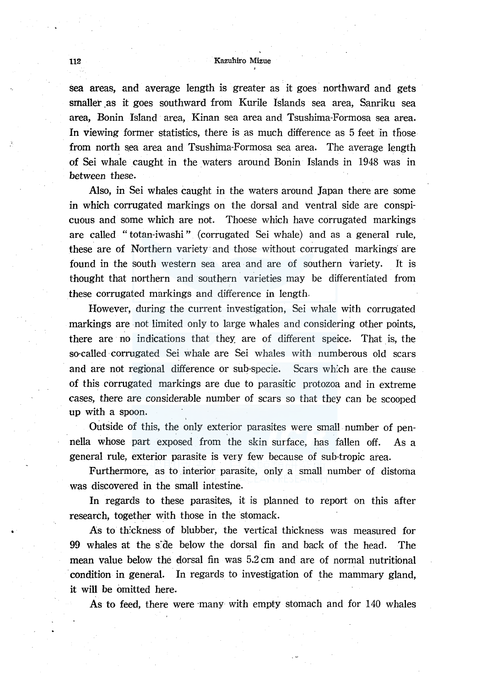## 112 Kazuhiro Mizue

sea areas, and average length is greater as it goes northward and gets smaller .as it goes southward from Kurile Islands sea area, Sanriku sea area, Bonin Island area, Kinan sea area and Tsushima-Formosa sea area. In viewing former statistics, there is as much difference as 5 feet in those from north sea area and Tsushima-Formosa sea area. The average length of Sei whale caught in the waters around Bonin Islands in 1948 was in between these.

Also, in Sei whales caught in the waters around Japan there are some in which corrugated markings on the dorsal and ventral side are conspicuous and some which are not. Thoese which have corrugated markings are called "totan-iwashi" (corrugated Sei whale) and as a general rule, these are of Northern variety· and those without corrugated markings· are found in the south western sea area and are of southern variety. It is thought that northern and southern varieties may be differentiated from these corrugated markings and difference in length.

However, during the current investigation, Sei whale with corrugated markings are not limited only to large whales and considering other points, there are no indications that they are of different speice. That is, the so-called corrugated Sei whale are Sei whales with numberous old scars and are not regional difference or sub-specie. Scars wh:ch are the cause of this corrugated markings are due to parasitic protozoa and in extreme cases, there are considerable number of scars so that they can be scooped up with a spoon.

Outside of this, the only exterior parasites were small number of pennella whose part exposed from the skin surface, has fallen off. As a general rule, exterior parasite is very few because of sub-tropic area.

Furthermore, as to interior parasite, only a small number of distoma was discovered in the small intestine.

In regards to these parasites, it is planned to report on this after research, together with those in the stomack.

As to thickness of blubber, the vertical thickness was measured for 99 whales at the s:de below the dorsal fin and back of the head. The mean value below the dorsal fin was 5.2 cm and are of normal nutritional ·condition in general. In regards to investigation of the mammary gland, it will be omitted here.

As to feed, there were many with empty stomach and for 140 whales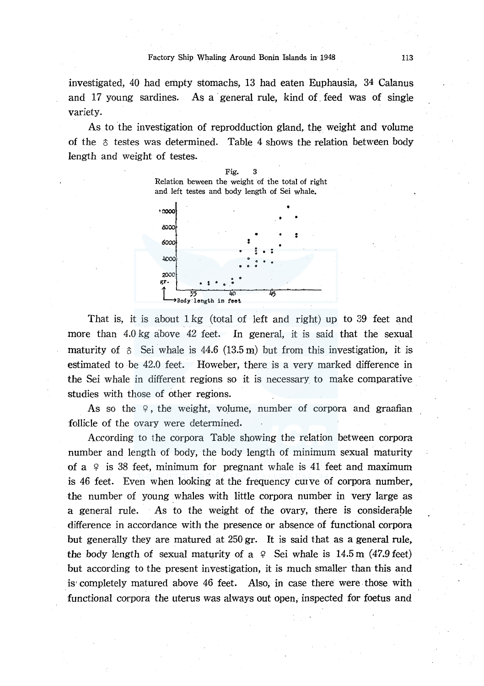investigated, 40 had empty stomachs, 13 had eaten Euphausia, 34 Calanus and 17 young sardines. As a general rule, kind of feed was of single variety.

As to the investigation of reprodduction gland, the weight and volume of the  $\delta$  testes was determined. Table 4 shows the relation between body length and weight of testes.



That is, it is about 1 kg (total of left and right) up to 39 feet and more than 4.0 kg above 42 feet. In general, it is said that the sexual maturity of  $\delta$  Sei whale is 44.6 (13.5 m) but from this investigation, it is estimated to be 42.0 feet. Howeber, there is a very marked difference in the Sei whale in different regions so it is necessary to make comparative studies with those of other regions.

As so the  $9$ , the weight, volume, number of corpora and graafian follicle of the ovary were determined.

According to the corpora Table showing the relation between corpora number and length of body, the body length of minimum sexual maturity of a  $9$  is 38 feet, minimum for pregnant whale is 41 feet and maximum is 46 feet. Even when looking at the frequency curve of corpora number, the number of young whales with little corpora number in very large as a general rule. As to the weight of the ovary, there is considerable difference in accordance with the presence or absence of functional corpora but generally they are matured at 250 gr. It is said that as a general rule, the body length of sexual maturity of a  $9$  Sei whale is 14.5 m (47.9 feet) but according to the present investigation, it is much smaller than this and is· completely matured above 46 feet. Also, in case there were. those with functional corpora the uterus was always out open, inspected for foetus and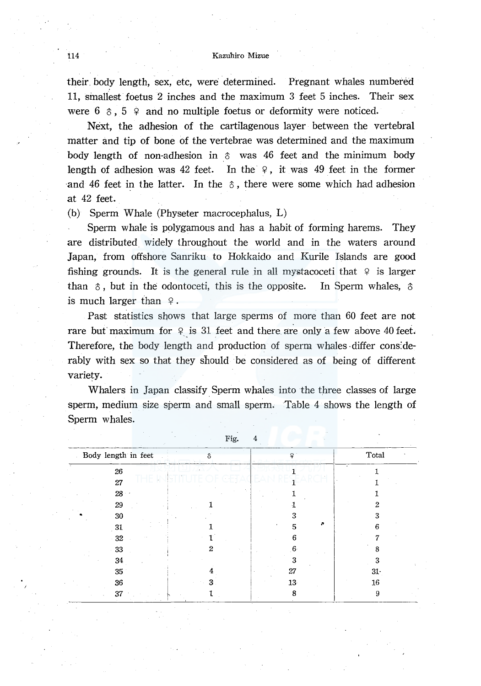### 114 Kazuhiro Mizue

their body length, sex, etc, were determined. Pregnant whales numbered 11, smallest foetus 2 inches and the maximum 3 feet 5 inches. Their sex were  $6 \text{ } \text{\&} 5 \text{ } \text{ }$  and no multiple foetus or deformity were noticed.

Next, the adhesion of the cartilagenous layer between the vertebral matter and tip of bone of the vertebrae was determined and the maximum body length of non-adhesion in  $\delta$  was 46 feet and the minimum body length of adhesion was 42 feet. In the  $9$ , it was 49 feet in the former and 46 feet in the latter. In the  $\delta$ , there were some which had adhesion at 42 feet.

(b) Sperm Whale (Physeter macrocephalus, L)

Sperm whale is polygamous and has a habit of forming harems. They are distributed. widely throughout the world and in the waters around Japan, from offshore Sanriku to Hokkaido and Kurile Islands are good fishing grounds. It is the general rule in all mystacoceti that  $9$  is larger than  $\delta$ , but in the odontoceti, this is the opposite. In Sperm whales,  $\delta$ is much larger than  $9$ .

Past statistics shows that large sperms of more than 60 feet are not rare but maximum for  $9$  is 31 feet and there are only a few above 40 feet. Therefore, the body length and production of sperm whales-differ cons:derably with sex so that they should be considered as of being of different variety.

Whalers in Japan classify Sperm whales into the three classes of large sperm, medium size sperm and small sperm. Table 4 shows the length of Sperm whales.

|                     | ∸ ~ວ* |    |        |
|---------------------|-------|----|--------|
| Body length in feet |       |    | Total  |
| 26                  |       |    |        |
| 27                  |       |    |        |
| 28                  |       |    |        |
| 29                  |       |    |        |
| 30                  |       |    |        |
| 31                  |       | 5  |        |
| 32                  |       | h  |        |
| 33                  | 2     | -6 |        |
| 34                  |       |    |        |
| 35                  |       | 27 | $31 -$ |
| 36                  |       | 13 | 16     |
| 37                  |       | 8  | g      |

Fig. 4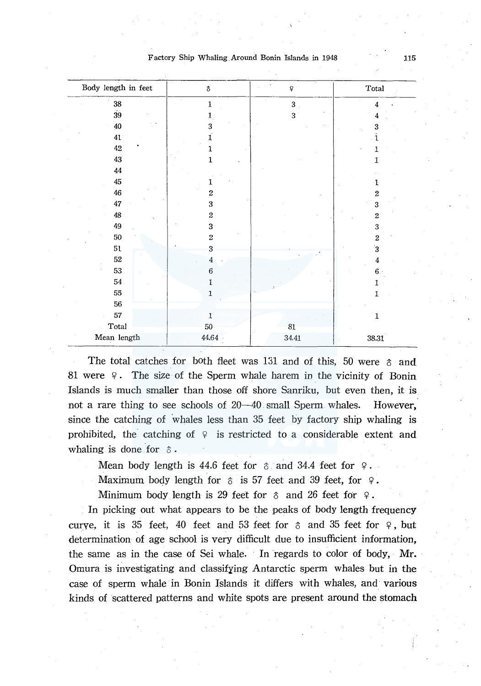| Factory Ship Whaling Around Bonin Islands in 1948 |  | 115 |
|---------------------------------------------------|--|-----|
|---------------------------------------------------|--|-----|

| Body length in feet             | \$               | $\mathbf{Q}$            | Total            |
|---------------------------------|------------------|-------------------------|------------------|
| ${\bf 38}$                      | $\,$ 1           | $\overline{\mathbf{3}}$ | $\boldsymbol{4}$ |
| 39                              | 1                | 3                       | 4                |
| $40\,$                          | 3                |                         | 3                |
| 41                              | $\mathbf{1}$     |                         | ĩ                |
| 42                              | $\mathbf{1}$     |                         | 1                |
| 43                              | $\mathbf 1$      |                         | 1                |
| $\bf{44}$                       |                  |                         |                  |
| 45                              | 1                |                         |                  |
| $\bf 46$                        | $\bf 2$          |                         | 2                |
| $47\,$                          | 3                |                         | 3                |
| $\bf 48$                        | $\,2$            |                         | $\boldsymbol{2}$ |
| $49\,$                          | 3                |                         | 3                |
| $50\,$                          | $\boldsymbol{2}$ |                         | $\boldsymbol{2}$ |
| 51                              | 3                |                         | $\bf \hat{3}$    |
| 52                              | $\overline{4}$   |                         | $\overline{4}$   |
| 53                              | $\boldsymbol{6}$ |                         | 6.               |
| ${\bf 54}$                      | $\mathbf{I}$     |                         | 1                |
| 55                              | $\mathbf 1$      |                         | 1                |
| 56                              |                  |                         |                  |
| 57                              | $\mathbf 1$      |                         | 1                |
| $\operatorname{\mathsf{Total}}$ | 50               | $81\,$                  |                  |
| Mean length                     | 44.64            | 34.41                   | 38.31            |

The total catches for both fleet was 131 and of this, 50 were  $\delta$  and 81 were 9 . The size of the Sperm whale harem in the vicinity of Bonin Islands is much smaller than those off shore Sanriku, but even then, it is not a rare thing to see schools of  $20-40$  small Sperm whales. However, since the catching of whales less than 35 feet by factory ship whaling is prohibited, the catching of  $\varphi$  is restricted to a considerable extent and whaling is done for  $\delta$ .

Mean body length is 44.6 feet for  $\delta$  and 34.4 feet for  $\varphi$ .

Maximum body length for  $\delta$  is 57 feet and 39 feet, for  $\varphi$ .

Minimum body length is 29 feet for  $\delta$  and 26 feet for  $\varphi$ .

In picking out what appears to be the peaks of body length frequency curve, it is 35 feet, 40 feet and 53 feet for  $\delta$  and 35 feet for  $\varphi$ , but determination of age school is very difficult due to insufficient information, the same as in the case of Sei whale. In regards to color of body, Mr. Omura is investigating and classifying Antarctic sperm whales but in the case of sperm whale in Bonin Islands it differs with whales, and· various kinds of scattered patterns and white spots are present around the stomach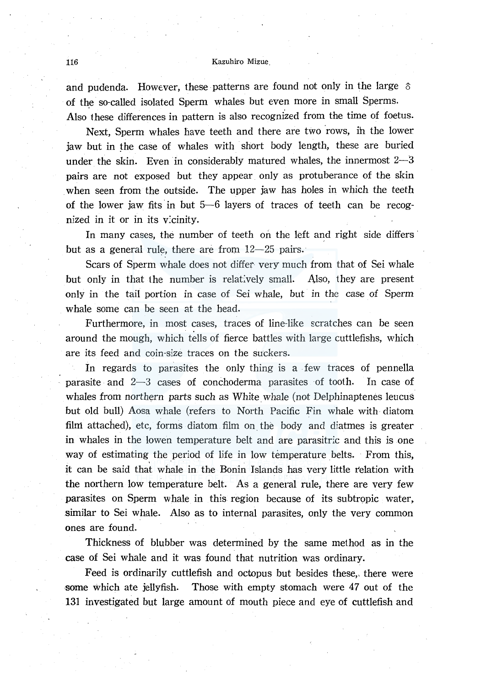#### 116 Kazuhiro Mizue.

and pudenda. However, these patterns are found not only in the large  $\delta$ of the so-called isolated Sperm whales but even more in small Sperms. Also these differences in pattern is also recognized from the time of foetus.

Next, Sperm whales have teeth and there are two rows, in the lower jaw but in the case of whales with short body length, these are buried under the skin. Even in considerably matured whales, the innermost  $2-3$ pairs are not exposed but they appear only as protuberance of the skin when seen from the outside. The upper jaw has holes in which the teeth of the lower jaw fits in but  $5-6$  layers of traces of teeth can be recognized in it or in its vicinity.

In many cases, the number of teeth on the left and right side differs but as a general rule, there are from  $12-25$  pairs.

Scars of Sperm whale does not differ very much from that of Sei whale but only in that the number is relatively small. Also, they are present only in the tail portion in case of Sei whale, but in the case of Sperm whale some can be seen at the head.

Furthermore, in most cases, traces of line-like scratches can be seen around the mough, which tells of fierce battles with large cuttlefishs, which are its feed and coin-size traces on the suckers.

In regards to parasites the only thing is a few traces of pennella parasite and  $2-3$  cases of conchoderma parasites of tooth. In case of whales from northern parts such as White whale (not Delphinaptenes leucus but old bull) Aosa whale (refers to North Pacific Fin whale with diatom film attached), etc, forms diatom film on. the body and diatmes is greater in whales in the lowen temperature belt and are parasitric and this is one way of estimating the period of life in low temperature belts. From this, it can be said that whale in the Bonin Islands has very little relation with the northern low temperature belt. As a general rule, there are very few parasites on Sperm whale in this region because of its subtropic water, similar to Sei whale. Also as to internal parasites, only the very common ones are found.

Thickness of blubber was determined by the same method as in the case of Sei whale and it was found that nutrition was ordinary.

Feed is ordinarily cuttlefish and octopus but besides these, there were some which ate jellyfish. Those with empty stomach were 47 out of the 131 investigated but large amount of mouth piece and eye of cuttlefish and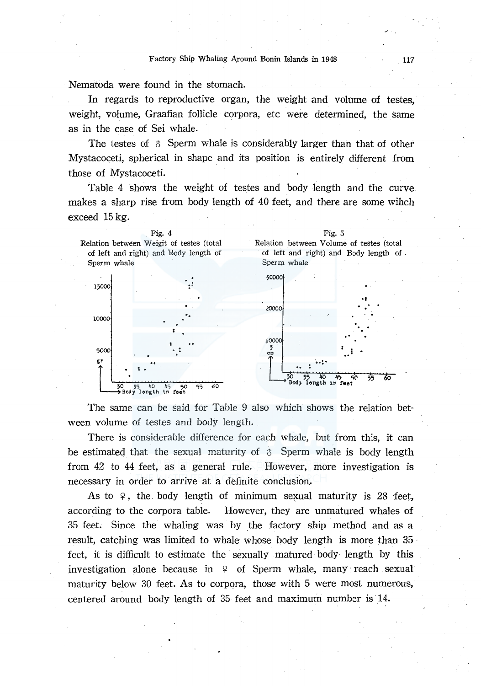Nematoda were found in the stomach.

In regards to reproductive organ, the weight and volume of testes, weight, volume, Graafian follicle corpora, etc were determined, the same as in the case of Sei whale.

The testes of  $\delta$  Sperm whale is considerably larger than that of other Mystacoceti, spherical in shape and its position is entirely different from those of Mystacoceti.

Table 4 shows the weight of testes and body length and the curve makes a sharp rise from body length of 40 feet, and there are some wihch exceed 15 kg.



The same can be said for Table 9 also which shows the relation between volume of testes and body length.

There is considerable difference for each whale, but from this, it can be estimated that the sexual maturity of  $\delta$  Sperm whale is body length from 42 to 44 feet, as a general rule. However, more investigation is necessary in order to arrive at a definite conclusion.

As to  $9$ , the body length of minimum sexual maturity is 28 feet, according to the corpora table. However, they are unmatured whales of 35 feet. Since the whaling was by the factory ship method and as a result, catching was limited to whale whose body length is more than 35 feet, it is difficult to estimate the sexually matured body length by this investigation alone because in  $9$  of Sperm whale, many reach sexual maturity below 30 feet. As to corpora, those with 5 were most numerous, centered around body length of 35 feet and maximum number is 14.